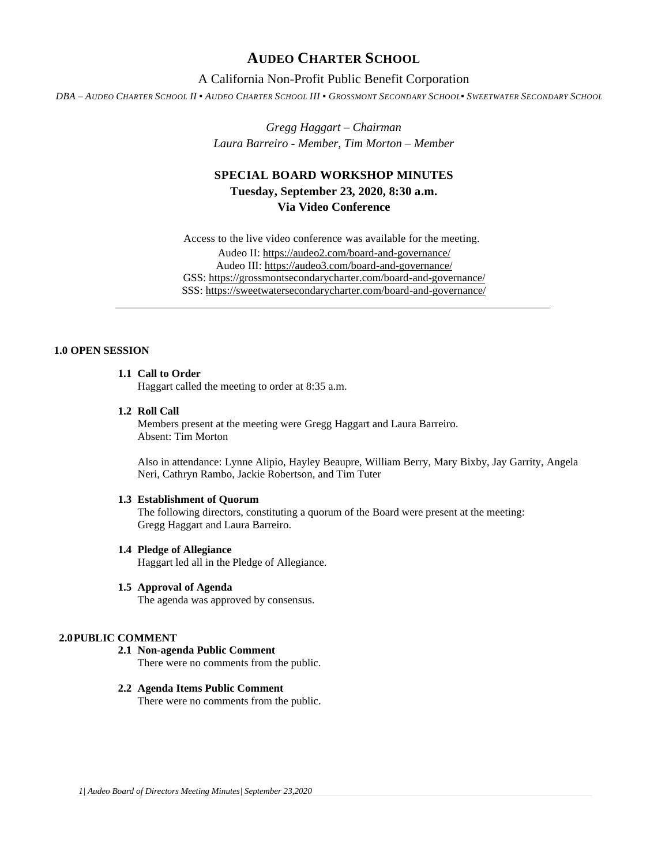## **AUDEO CHARTER SCHOOL**

## A California Non-Profit Public Benefit Corporation

DBA - AUDEO CHARTER SCHOOL II . AUDEO CHARTER SCHOOL III . GROSSMONT SECONDARY SCHOOL. SWEETWATER SECONDARY SCHOOL

*Gregg Haggart – Chairman Laura Barreiro - Member, Tim Morton – Member*

# **SPECIAL BOARD WORKSHOP MINUTES Tuesday, September 23, 2020, 8:30 a.m. Via Video Conference**

Access to the live video conference was available for the meeting. Audeo II[: https://audeo2.com/board-and-governance/](https://audeo2.com/board-and-governance/) Audeo III:<https://audeo3.com/board-and-governance/> GSS:<https://grossmontsecondarycharter.com/board-and-governance/> SSS:<https://sweetwatersecondarycharter.com/board-and-governance/>

## **1.0 OPEN SESSION**

## **1.1 Call to Order**

Haggart called the meeting to order at 8:35 a.m.

#### **1.2 Roll Call**

Members present at the meeting were Gregg Haggart and Laura Barreiro. Absent: Tim Morton

Also in attendance: Lynne Alipio, Hayley Beaupre, William Berry, Mary Bixby, Jay Garrity, Angela Neri, Cathryn Rambo, Jackie Robertson, and Tim Tuter

#### **1.3 Establishment of Quorum**

The following directors, constituting a quorum of the Board were present at the meeting: Gregg Haggart and Laura Barreiro.

#### **1.4 Pledge of Allegiance**

Haggart led all in the Pledge of Allegiance.

#### **1.5 Approval of Agenda**

The agenda was approved by consensus.

### **2.0PUBLIC COMMENT**

# **2.1 Non-agenda Public Comment**

There were no comments from the public.

## **2.2 Agenda Items Public Comment**

There were no comments from the public.